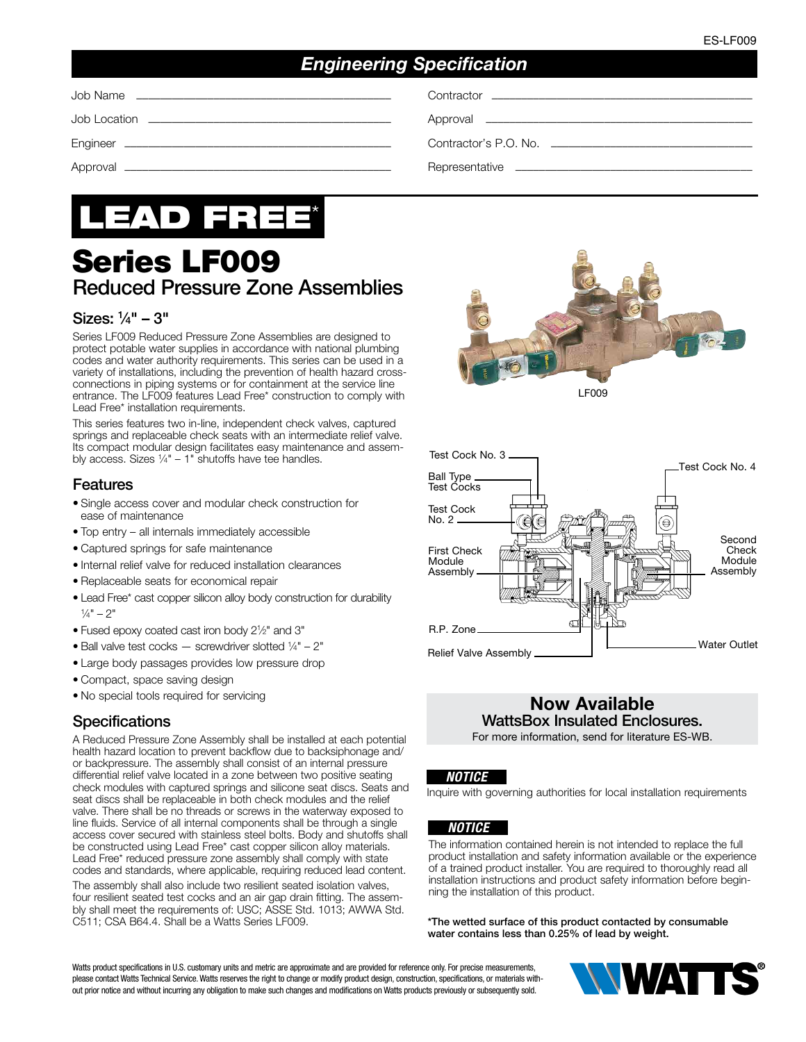# *Engineering Specification*

Job Name ––––––––––––––––––––––––––––––––––––––––––– Contractor ––––––––––––––––––––––––––––––––––––––––––––

Job Location ––––––––––––––––––––––––––––––––––––––––– Approval –––––––––––––––––––––––––––––––––––––––––––––

Engineer ––––––––––––––––––––––––––––––––––––––––––––– Contractor's P.O. No. ––––––––––––––––––––––––––––––––––

Approval ––––––––––––––––––––––––––––––––––––––––––––– Representative ––––––––––––––––––––––––––––––––––––––––

# LEAD FREE\*

# Series LF009 Reduced Pressure Zone Assemblies

#### Sizes: 1 ⁄4" – 3"

Series LF009 Reduced Pressure Zone Assemblies are designed to protect potable water supplies in accordance with national plumbing codes and water authority requirements. This series can be used in a variety of installations, including the prevention of health hazard crossconnections in piping systems or for containment at the service line entrance. The LF009 features Lead Free\* construction to comply with Lead Free\* installation requirements.

This series features two in-line, independent check valves, captured springs and replaceable check seats with an intermediate relief valve. Its compact modular design facilitates easy maintenance and assembly access. Sizes  $1/4" - 1"$  shutoffs have tee handles.

#### Features

- Single access cover and modular check construction for ease of maintenance
- Top entry all internals immediately accessible
- Captured springs for safe maintenance
- Internal relief valve for reduced installation clearances
- Replaceable seats for economical repair
- Lead Free\* cast copper silicon alloy body construction for durability  $\frac{1}{4}$ " – 2"
- Fused epoxy coated cast iron body 21 ⁄2" and 3"
- Ball valve test cocks  $-$  screwdriver slotted  $1/4" 2"$
- Large body passages provides low pressure drop
- Compact, space saving design
- No special tools required for servicing

#### **Specifications**

A Reduced Pressure Zone Assembly shall be installed at each potential health hazard location to prevent backflow due to backsiphonage and/ or backpressure. The assembly shall consist of an internal pressure differential relief valve located in a zone between two positive seating check modules with captured springs and silicone seat discs. Seats and seat discs shall be replaceable in both check modules and the relief valve. There shall be no threads or screws in the waterway exposed to line fluids. Service of all internal components shall be through a single access cover secured with stainless steel bolts. Body and shutoffs shall be constructed using Lead Free\* cast copper silicon alloy materials. Lead Free\* reduced pressure zone assembly shall comply with state codes and standards, where applicable, requiring reduced lead content.

The assembly shall also include two resilient seated isolation valves, four resilient seated test cocks and an air gap drain fitting. The assembly shall meet the requirements of: USC; ASSE Std. 1013; AWWA Std. C511; CSA B64.4. Shall be a Watts Series LF009.





# Now Available WattsBox Insulated Enclosures.

For more information, send for literature ES-WB.

#### *NOTICE*

Inquire with governing authorities for local installation requirements

#### *NOTICE*

The information contained herein is not intended to replace the full product installation and safety information available or the experience of a trained product installer. You are required to thoroughly read all installation instructions and product safety information before beginning the installation of this product.

\*The wetted surface of this product contacted by consumable water contains less than 0.25% of lead by weight.

Watts product specifications in U.S. customary units and metric are approximate and are provided for reference only. For precise measurements, please contact Watts Technical Service. Watts reserves the right to change or modify product design, construction, specifications, or materials without prior notice and without incurring any obligation to make such changes and modifications on Watts products previously or subsequently sold.

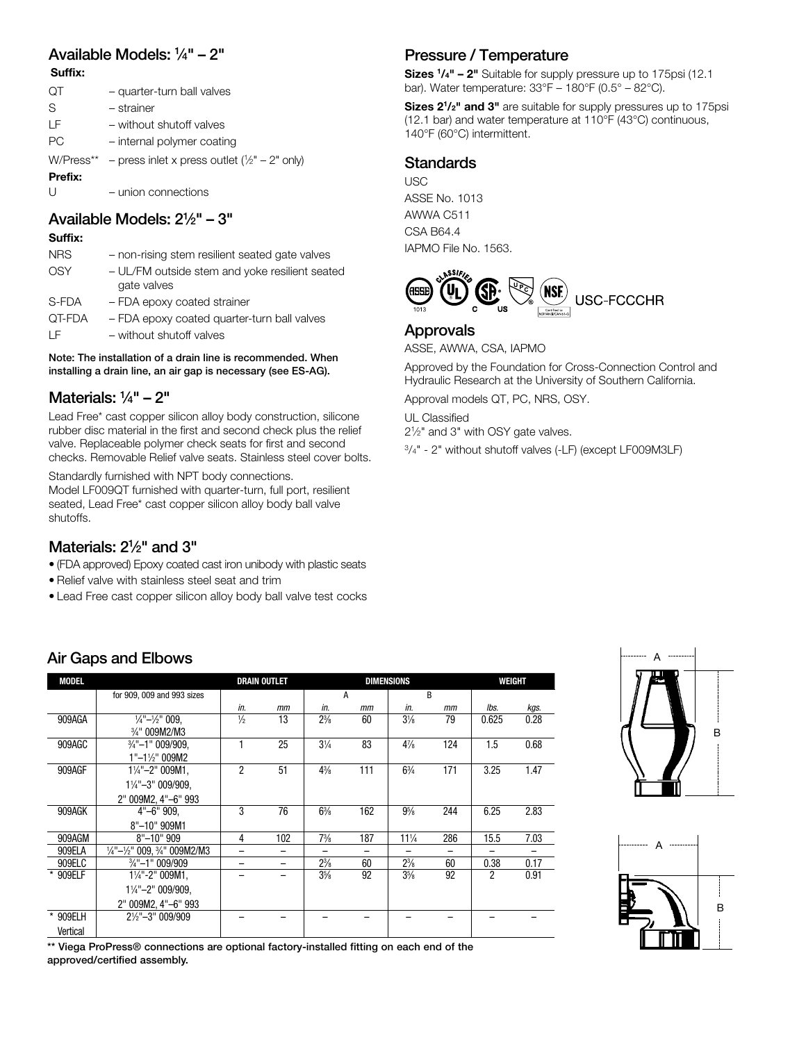#### Available Models: 1 ⁄4" – 2" Suffix:

| ЮT      | - quarter-turn ball valves                                |
|---------|-----------------------------------------------------------|
| S       | - strainer                                                |
| ΙF      | - without shutoff valves                                  |
| РC      | - internal polymer coating                                |
|         | W/Press** – press inlet x press outlet $(1/2" - 2"$ only) |
| Prefix: |                                                           |
| $\cup$  | - union connections                                       |
|         |                                                           |

## Available Models: 21 ⁄2" – 3"

#### Suffix:

| <b>NRS</b> | - non-rising stem resilient seated gate valves                |
|------------|---------------------------------------------------------------|
| OSY        | - UL/FM outside stem and yoke resilient seated<br>gate valves |
| S-FDA      | - FDA epoxy coated strainer                                   |
| QT-FDA     | - FDA epoxy coated quarter-turn ball valves                   |
| ΙF         | - without shutoff valves                                      |

Note: The installation of a drain line is recommended. When installing a drain line, an air gap is necessary (see ES-AG).

#### Materials: 1 ⁄4" – 2"

Lead Free\* cast copper silicon alloy body construction, silicone rubber disc material in the first and second check plus the relief valve. Replaceable polymer check seats for first and second checks. Removable Relief valve seats. Stainless steel cover bolts.

Standardly furnished with NPT body connections.

Model LF009QT furnished with quarter-turn, full port, resilient seated, Lead Free\* cast copper silicon alloy body ball valve shutoffs.

#### Materials:  $2\frac{1}{2}$ " and 3"

Air Gaps and Elbows

- (FDA approved) Epoxy coated cast iron unibody with plastic seats
- Relief valve with stainless steel seat and trim
- Lead Free cast copper silicon alloy body ball valve test cocks

## Pressure / Temperature

Sizes  $1/4"$  – 2" Suitable for supply pressure up to 175psi (12.1) bar). Water temperature: 33°F – 180°F (0.5° – 82°C).

Sizes 2<sup>1</sup>/<sub>2</sub>" and 3" are suitable for supply pressures up to 175psi (12.1 bar) and water temperature at 110°F (43°C) continuous, 140°F (60°C) intermittent.

#### Standards

**USC** ASSE No. 1013 AWWA C511 CSA B64.4 IAPMO File No. 1563.



#### Approvals

ASSE, AWWA, CSA, IAPMO

Approved by the Foundation for Cross-Connection Control and Hydraulic Research at the University of Southern California.

Approval models QT, PC, NRS, OSY.

UL Classified

21⁄2" and 3" with OSY gate valves.

3/4" - 2" without shutoff valves (-LF) (except LF009M3LF)

| <b>MODEL</b> |                                                                |               | <b>DRAIN OUTLET</b> |                          | <b>DIMENSIONS</b> | WEIGHT          |     |       |      |
|--------------|----------------------------------------------------------------|---------------|---------------------|--------------------------|-------------------|-----------------|-----|-------|------|
|              | for 909, 009 and 993 sizes                                     |               |                     |                          | A                 | R               |     |       |      |
|              |                                                                | in.           | mm                  | in.                      | mm                | in.             | mm  | lbs.  | kgs. |
| 909AGA       | $\frac{1}{4}$ " $ \frac{1}{2}$ " 009.                          | $\frac{1}{2}$ | 13                  | $2\frac{3}{8}$           | 60                | $3\frac{1}{8}$  | 79  | 0.625 | 0.28 |
|              | 3/4" 009M2/M3                                                  |               |                     |                          |                   |                 |     |       |      |
| 909AGC       | $\frac{3}{4}$ "-1" 009/909,                                    |               | 25                  | $3\frac{1}{4}$           | 83                | $4\frac{7}{8}$  | 124 | 1.5   | 0.68 |
|              | $1"$ -1½" 009M2                                                |               |                     |                          |                   |                 |     |       |      |
| 909AGF       | $1\frac{1}{4}$ "-2" 009M1,                                     | 2             | 51                  | $4\frac{3}{8}$           | 111               | $6\frac{3}{4}$  | 171 | 3.25  | 1.47 |
|              | 11/4"-3" 009/909,                                              |               |                     |                          |                   |                 |     |       |      |
|              | 2" 009M2, 4"-6" 993                                            |               |                     |                          |                   |                 |     |       |      |
| 909AGK       | 4"-6" 909,                                                     | 3             | 76                  | $6\frac{3}{8}$           | 162               | $9\%$           | 244 | 6.25  | 2.83 |
|              | 8"-10" 909M1                                                   |               |                     |                          |                   |                 |     |       |      |
| 909AGM       | $8" - 10" 909$                                                 | 4             | 102                 | $7\frac{3}{8}$           | 187               | $11\frac{1}{4}$ | 286 | 15.5  | 7.03 |
| 909ELA       | $\frac{1}{4}$ "- $\frac{1}{2}$ " 009, $\frac{3}{4}$ " 009M2/M3 | -             | -                   | $\overline{\phantom{0}}$ | —                 |                 |     |       |      |
| 909ELC       | $\frac{3}{4}$ "-1" 009/909                                     |               | -                   | $2\frac{3}{8}$           | 60                | $2\frac{3}{8}$  | 60  | 0.38  | 0.17 |
| * 909ELF     | $1\frac{1}{4}$ "-2" 009M1,                                     |               |                     | $3\frac{5}{8}$           | 92                | $3\frac{5}{8}$  | 92  | 2     | 0.91 |
|              | $1\frac{1}{4}$ "-2" 009/909,                                   |               |                     |                          |                   |                 |     |       |      |
|              | 2" 009M2, 4"-6" 993                                            |               |                     |                          |                   |                 |     |       |      |
| * 909ELH     | $2\frac{1}{2}$ "-3" 009/909                                    |               |                     |                          |                   |                 |     |       |      |
| Vertical     |                                                                |               |                     |                          |                   |                 |     |       |      |

# B

A



\*\* Viega ProPress® connections are optional factory-installed fitting on each end of the approved/certified assembly.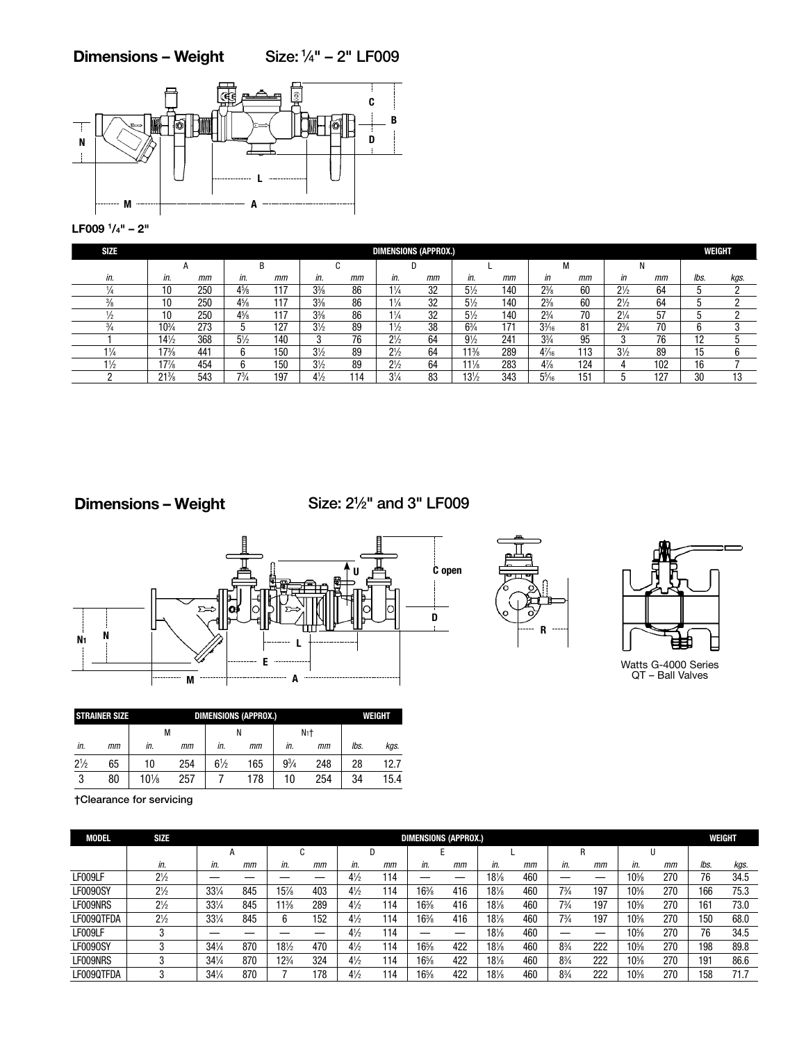#### Dimensions – Weight Size: 1⁄4" – 2" LF009



LF009 1/4" – 2"

| <b>SIZE</b>    | <b>DIMENSIONS (APPROX.)</b> |     |                |     |                |     |                |    |                 |     |                 |     |                |     | WEIGHT |          |
|----------------|-----------------------------|-----|----------------|-----|----------------|-----|----------------|----|-----------------|-----|-----------------|-----|----------------|-----|--------|----------|
|                | n                           |     | B              |     |                |     |                |    |                 |     | М               |     |                |     |        |          |
| in.            | in.                         | mm  | in.            | mm  | in.            | mm  | in.            | mm | in.             | mm  | in              | mm  | in             | mm  | lbs.   | kgs.     |
|                | 10                          | 250 | $4\frac{5}{8}$ |     | $3\frac{3}{8}$ | 86  | $1\frac{1}{4}$ | 32 | $5\frac{1}{2}$  | 140 | $2\frac{3}{8}$  | 60  | $2\frac{1}{2}$ | 64  | J      |          |
|                | 10                          | 250 | $4\frac{5}{8}$ |     | $3\frac{3}{8}$ | 86  | $1\frac{1}{4}$ | 32 | $5\frac{1}{2}$  | 140 | $2\frac{3}{8}$  | 60  | $2\frac{1}{2}$ | 64  |        |          |
|                | 10                          | 250 | $4\frac{5}{8}$ |     | $3\frac{3}{8}$ | 86  | $1\frac{1}{4}$ | 32 | $5\frac{1}{2}$  | 140 | $2^{3}/_{4}$    | 70  | $2\frac{1}{4}$ | 57  | ٠.     |          |
|                | $10^{3}/_{4}$               | 273 |                | 127 | $3\frac{1}{2}$ | 89  | $1\frac{1}{2}$ | 38 | $6\frac{3}{4}$  | 171 | $3\frac{3}{16}$ | 81  | $2\frac{3}{4}$ | 70  |        |          |
|                | $14\frac{1}{2}$             | 368 | $5\frac{1}{2}$ | 140 | c              | 76  | $2\frac{1}{2}$ | 64 | $9\frac{1}{2}$  | 241 | $3\frac{3}{4}$  | 95  | c              | 76  | 19     |          |
| $1\frac{1}{4}$ | $7\frac{3}{8}$              | 441 | 6              | 150 | $3\frac{1}{2}$ | 89  | $2\frac{1}{2}$ | 64 | $11\frac{3}{8}$ | 289 | $4\frac{7}{16}$ | 113 | $3\frac{1}{2}$ | 89  | 15     |          |
| $1\frac{1}{2}$ | $17\frac{7}{8}$             | 454 | 6              | 150 | $3\frac{1}{2}$ | 89  | $2\frac{1}{2}$ | 64 | $11\frac{1}{8}$ | 283 | $4\frac{7}{8}$  | 124 |                | 102 | 16     |          |
|                | $21\%$                      | 543 | $7^{3}/_{4}$   | 197 | $4\frac{1}{2}$ | 114 | $3\frac{1}{4}$ | 83 | $13\frac{1}{2}$ | 343 | $5\frac{5}{16}$ | 151 |                | 127 | 30     | 10<br>IJ |

Dimensions – Weight

Size: 21 ⁄2" and 3" LF009



|                | <b>STRAINER SIZE</b> |        | WEIGHT |                |     |              |                |      |      |
|----------------|----------------------|--------|--------|----------------|-----|--------------|----------------|------|------|
|                |                      | м      |        |                |     |              | N <sub>1</sub> |      |      |
| in.            | mт                   | in.    | mт     | in.            | mm  | in.          | mm             | lbs. | kgs. |
| $2\frac{1}{2}$ | 65                   | 10     | 254    | $6\frac{1}{2}$ | 165 | $9^{3}/_{4}$ | 248            | 28   | 12.7 |
| ৽              | 80                   | $10\%$ | 257    |                | 178 | 10           | 254            | 34   | 15.4 |

R



Watts G-4000 Series

†Clearance for servicing

| <b>MODEL</b> | SIZE           |                 |     | <b>DIMENSIONS (APPROX.)</b> |     |                |     |        |     |        |     |                |     |        |     |      | WEIGHT |
|--------------|----------------|-----------------|-----|-----------------------------|-----|----------------|-----|--------|-----|--------|-----|----------------|-----|--------|-----|------|--------|
|              |                |                 | А   |                             |     |                |     |        |     |        |     | R              |     |        |     |      |        |
|              | in.            | in.             | mm  | in.                         | mm  | in.            | mm  | in.    | mт  | in.    | mm  | in.            | mm  | in.    | mm  | lbs. | kgs.   |
| LF009LF      | $2\frac{1}{2}$ |                 |     |                             |     | $4\frac{1}{2}$ | 114 |        |     | $18\%$ | 460 |                |     | $10\%$ | 270 | 76   | 34.5   |
| LF0090SY     | $2\frac{1}{2}$ | 331/4           | 845 | $5\frac{7}{8}$              | 403 | $4\frac{1}{2}$ | 114 | $16\%$ | 416 | $18\%$ | 460 | $7\frac{3}{4}$ | 197 | 10%    | 270 | 166  | 75.3   |
| LF009NRS     | $2\frac{1}{2}$ | 331/4           | 845 | $1\frac{3}{8}$              | 289 | $4\frac{1}{2}$ | 114 | $16\%$ | 416 | $18\%$ | 460 | $7\frac{3}{4}$ | 197 | $10\%$ | 270 | 161  | 73.0   |
| LF009QTFDA   | $2\frac{1}{2}$ | 331/4           | 845 | h                           | 152 | $4\frac{1}{2}$ | 114 | $16\%$ | 416 | $18\%$ | 460 | $7\frac{3}{4}$ | 197 | $10\%$ | 270 | 150  | 68.0   |
| LF009LF      |                |                 |     |                             |     | $4\frac{1}{2}$ | 114 |        | –   | $18\%$ | 460 |                |     | 10%    | 270 | 76   | 34.5   |
| LF0090SY     |                | $34\frac{1}{4}$ | 870 | $18\frac{1}{2}$             | 470 | $4\frac{1}{2}$ | 114 | 161/8  | 422 | $18\%$ | 460 | $8\frac{3}{4}$ | 222 | $10\%$ | 270 | 198  | 89.8   |
| LF009NRS     |                | $34\frac{1}{4}$ | 870 | $12\frac{3}{4}$             | 324 | $4\frac{1}{2}$ | 114 | 161/8  | 422 | $18\%$ | 460 | $8\frac{3}{4}$ | 222 | 10%    | 270 | 191  | 86.6   |
| LF009QTFDA   |                | $34\frac{1}{4}$ | 870 |                             | 78  | $4\frac{1}{2}$ | 114 | 16½    | 422 | 18½    | 460 | $8\frac{3}{4}$ | 222 | $10\%$ | 270 | 58   |        |